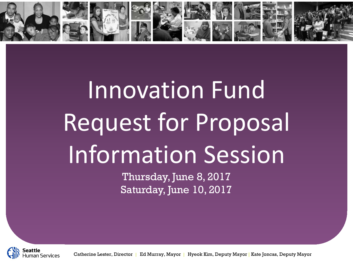

# Innovation Fund Request for Proposal Information Session

Thursday, June 8, 2017 Saturday, June 10, 2017



Catherine Lester, Director **|** Ed Murray, Mayor **|** Hyeok Kim, Deputy Mayor **|** Kate Joncas, Deputy Mayor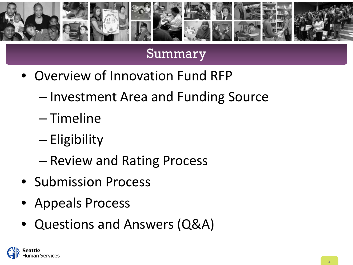

### Summary

- Overview of Innovation Fund RFP
	- Investment Area and Funding Source
	- Timeline
	- Eligibility
	- Review and Rating Process
- Submission Process
- Appeals Process
- Questions and Answers (Q&A)

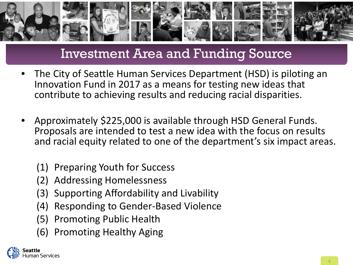

# Investment Area and Funding Source

- The City of Seattle Human Services Department (HSD) is piloting an Innovation Fund in 2017 as a means for testing new ideas that contribute to achieving results and reducing racial disparities.
- Approximately \$225,000 is available through HSD General Funds. Proposals are intended to test a new idea with the focus on results and racial equity related to one of the department's six impact areas.
	- (1) Preparing Youth for Success
	- (2) Addressing Homelessness
	- (3) Supporting Affordability and Livability
	- (4) Responding to Gender-Based Violence
	- (5) Promoting Public Health
	- (6) Promoting Healthy Aging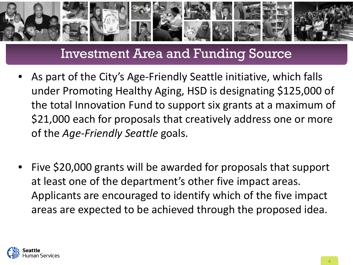

## Investment Area and Funding Source

- As part of the City's Age-Friendly Seattle initiative, which falls under Promoting Healthy Aging, HSD is designating \$125,000 of the total Innovation Fund to support six grants at a maximum of \$21,000 each for proposals that creatively address one or more of the *Age-Friendly Seattle* goals.
- Five \$20,000 grants will be awarded for proposals that support at least one of the department's other five impact areas. Applicants are encouraged to identify which of the five impact areas are expected to be achieved through the proposed idea.

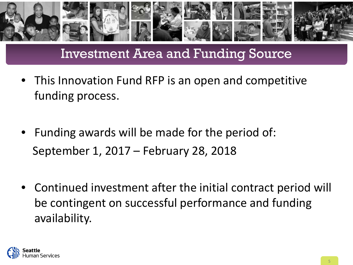

# Investment Area and Funding Source

- This Innovation Fund RFP is an open and competitive funding process.
- Funding awards will be made for the period of: September 1, 2017 – February 28, 2018
- Continued investment after the initial contract period will be contingent on successful performance and funding availability.

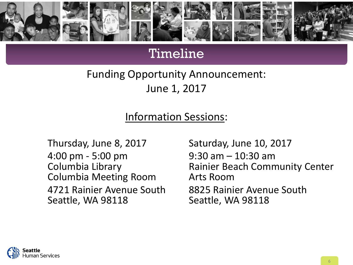

### Timeline

Funding Opportunity Announcement: June 1, 2017

#### Information Sessions:

Thursday, June 8, 2017 Saturday, June 10, 2017 4:00 pm - 5:00 pm<br>
Columbia Library<br>
Columbia Library<br>
Rainier Beach Comm Columbia Meeting Room Arts Room Seattle, WA 98118 Seattle, WA 98118

Rainier Beach Community Center 4721 Rainier Avenue South 8825 Rainier Avenue South

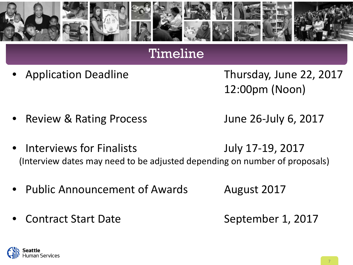

#### Timeline

• Application Deadline Thursday, June 22, 2017 12:00pm (Noon)

• Review & Rating Process June 26-July 6, 2017

- Interviews for Finalists **Fraud Contract 10 State 10 and 17-19, 2017** (Interview dates may need to be adjusted depending on number of proposals)
- Public Announcement of Awards August 2017
- Contract Start Date September 1, 2017

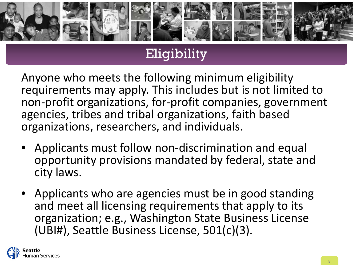

# Eligibility

Anyone who meets the following minimum eligibility requirements may apply. This includes but is not limited to non-profit organizations, for-profit companies, government agencies, tribes and tribal organizations, faith based organizations, researchers, and individuals.

- Applicants must follow non-discrimination and equal opportunity provisions mandated by federal, state and city laws.
- Applicants who are agencies must be in good standing and meet all licensing requirements that apply to its organization; e.g., Washington State Business License (UBI#), Seattle Business License, 501(c)(3).

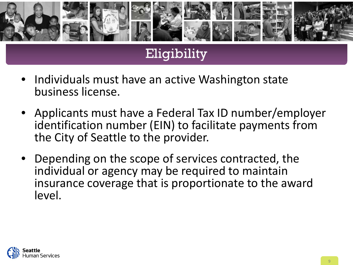

# Eligibility

- Individuals must have an active Washington state business license.
- Applicants must have a Federal Tax ID number/employer identification number (EIN) to facilitate payments from the City of Seattle to the provider.
- Depending on the scope of services contracted, the individual or agency may be required to maintain insurance coverage that is proportionate to the award level.

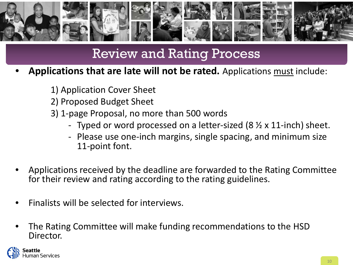

# Review and Rating Process

- **Applications that are late will not be rated.** Applications must include:
	- 1) Application Cover Sheet
	- 2) Proposed Budget Sheet
	- 3) 1-page Proposal, no more than 500 words
		- Typed or word processed on a letter-sized  $(8 \times x 11$ -inch) sheet.
		- Please use one-inch margins, single spacing, and minimum size 11-point font.
- Applications received by the deadline are forwarded to the Rating Committee for their review and rating according to the rating guidelines.
- Finalists will be selected for interviews.
- The Rating Committee will make funding recommendations to the HSD Director.

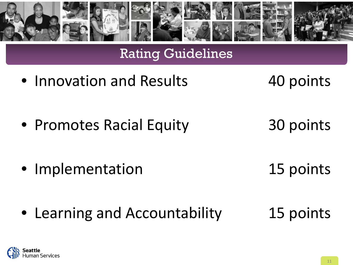

# Rating Guidelines

- Innovation and Results 40 points
- 

- Promotes Racial Equity 30 points
	-
- Implementation 15 points
- 

• Learning and Accountability 15 points

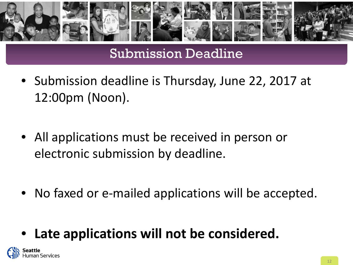

# Submission Deadline

- Submission deadline is Thursday, June 22, 2017 at 12:00pm (Noon).
- All applications must be received in person or electronic submission by deadline.
- No faxed or e-mailed applications will be accepted.
- Late applications will not be considered.

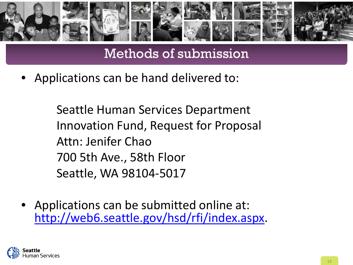

Methods of submission

• Applications can be hand delivered to:

Seattle Human Services Department Innovation Fund, Request for Proposal Attn: Jenifer Chao 700 5th Ave., 58th Floor Seattle, WA 98104-5017

• Applications can be submitted online at: [http://web6.seattle.gov/hsd/rfi/index.aspx.](http://web6.seattle.gov/hsd/rfi/index.aspx)

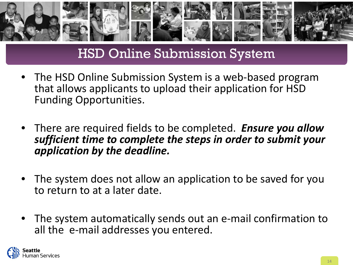

# HSD Online Submission System

- The HSD Online Submission System is a web-based program that allows applicants to upload their application for HSD Funding Opportunities.
- There are required fields to be completed. *Ensure you allow sufficient time to complete the steps in order to submit your application by the deadline.*
- The system does not allow an application to be saved for you to return to at a later date.
- The system automatically sends out an e-mail confirmation to all the e-mail addresses you entered.

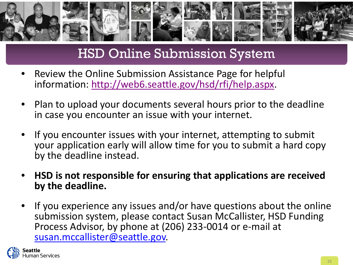

# HSD Online Submission System

- Review the Online Submission Assistance Page for helpful information:<http://web6.seattle.gov/hsd/rfi/help.aspx>.
- Plan to upload your documents several hours prior to the deadline in case you encounter an issue with your internet.
- If you encounter issues with your internet, attempting to submit your application early will allow time for you to submit a hard copy by the deadline instead.
- **HSD is not responsible for ensuring that applications are received by the deadline.**
- If you experience any issues and/or have questions about the online submission system, please contact Susan McCallister, HSD Funding Process Advisor, by phone at (206) 233-0014 or e-mail at [susan.mccallister@seattle.gov.](mailto:susan.mccallister@seattle.gov)

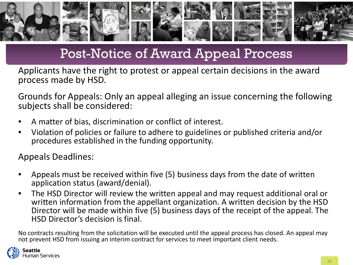

# Post-Notice of Award Appeal Process

Applicants have the right to protest or appeal certain decisions in the award process made by HSD.

Grounds for Appeals: Only an appeal alleging an issue concerning the following subjects shall be considered:

- A matter of bias, discrimination or conflict of interest.
- Violation of policies or failure to adhere to guidelines or published criteria and/or procedures established in the funding opportunity.

Appeals Deadlines:

- Appeals must be received within five (5) business days from the date of written application status (award/denial).
- The HSD Director will review the written appeal and may request additional oral or written information from the appellant organization. A written decision by the HSD Director will be made within five (5) business days of the receipt of the appeal. The HSD Director's decision is final.

No contracts resulting from the solicitation will be executed until the appeal process has closed. An appeal may not prevent HSD from issuing an interim contract for services to meet important client needs.